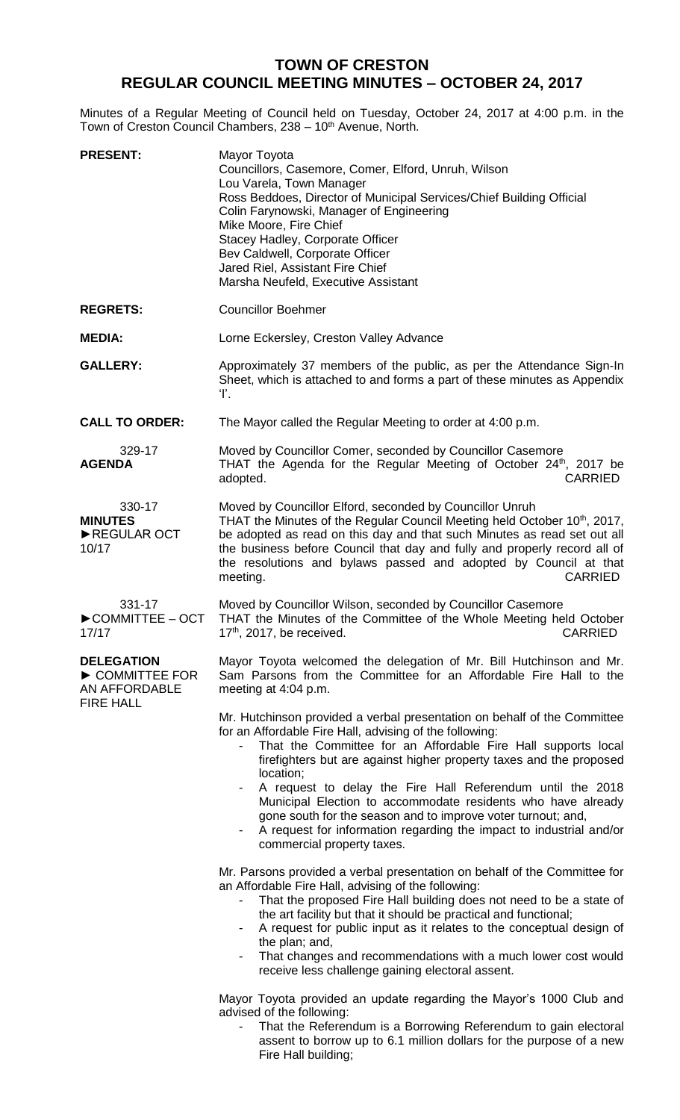# **TOWN OF CRESTON REGULAR COUNCIL MEETING MINUTES – OCTOBER 24, 2017**

Minutes of a Regular Meeting of Council held on Tuesday, October 24, 2017 at 4:00 p.m. in the Town of Creston Council Chambers, 238 - 10<sup>th</sup> Avenue, North.

| <b>PRESENT:</b>                                                         | Mayor Toyota<br>Councillors, Casemore, Comer, Elford, Unruh, Wilson<br>Lou Varela, Town Manager<br>Ross Beddoes, Director of Municipal Services/Chief Building Official<br>Colin Farynowski, Manager of Engineering<br>Mike Moore, Fire Chief<br>Stacey Hadley, Corporate Officer<br>Bev Caldwell, Corporate Officer<br>Jared Riel, Assistant Fire Chief<br>Marsha Neufeld, Executive Assistant                                                                                                                                                                                             |
|-------------------------------------------------------------------------|---------------------------------------------------------------------------------------------------------------------------------------------------------------------------------------------------------------------------------------------------------------------------------------------------------------------------------------------------------------------------------------------------------------------------------------------------------------------------------------------------------------------------------------------------------------------------------------------|
| <b>REGRETS:</b>                                                         | <b>Councillor Boehmer</b>                                                                                                                                                                                                                                                                                                                                                                                                                                                                                                                                                                   |
| <b>MEDIA:</b>                                                           | Lorne Eckersley, Creston Valley Advance                                                                                                                                                                                                                                                                                                                                                                                                                                                                                                                                                     |
| <b>GALLERY:</b>                                                         | Approximately 37 members of the public, as per the Attendance Sign-In<br>Sheet, which is attached to and forms a part of these minutes as Appendix<br>Ŧ.                                                                                                                                                                                                                                                                                                                                                                                                                                    |
| <b>CALL TO ORDER:</b>                                                   | The Mayor called the Regular Meeting to order at 4:00 p.m.                                                                                                                                                                                                                                                                                                                                                                                                                                                                                                                                  |
| 329-17<br><b>AGENDA</b>                                                 | Moved by Councillor Comer, seconded by Councillor Casemore<br>THAT the Agenda for the Regular Meeting of October 24th, 2017 be<br><b>CARRIED</b><br>adopted.                                                                                                                                                                                                                                                                                                                                                                                                                                |
| 330-17<br><b>MINUTES</b><br>REGULAR OCT<br>10/17                        | Moved by Councillor Elford, seconded by Councillor Unruh<br>THAT the Minutes of the Regular Council Meeting held October 10th, 2017,<br>be adopted as read on this day and that such Minutes as read set out all<br>the business before Council that day and fully and properly record all of<br>the resolutions and bylaws passed and adopted by Council at that<br>meeting.<br><b>CARRIED</b>                                                                                                                                                                                             |
| 331-17<br>$\triangleright$ COMMITTEE - OCT<br>17/17                     | Moved by Councillor Wilson, seconded by Councillor Casemore<br>THAT the Minutes of the Committee of the Whole Meeting held October<br>17th, 2017, be received.<br><b>CARRIED</b>                                                                                                                                                                                                                                                                                                                                                                                                            |
| <b>DELEGATION</b><br>COMMITTEE FOR<br>AN AFFORDABLE<br><b>FIRE HALL</b> | Mayor Toyota welcomed the delegation of Mr. Bill Hutchinson and Mr.<br>Sam Parsons from the Committee for an Affordable Fire Hall to the<br>meeting at 4:04 p.m.                                                                                                                                                                                                                                                                                                                                                                                                                            |
|                                                                         | Mr. Hutchinson provided a verbal presentation on behalf of the Committee<br>for an Affordable Fire Hall, advising of the following:<br>That the Committee for an Affordable Fire Hall supports local<br>firefighters but are against higher property taxes and the proposed<br>location;<br>A request to delay the Fire Hall Referendum until the 2018<br>Municipal Election to accommodate residents who have already<br>gone south for the season and to improve voter turnout; and,<br>A request for information regarding the impact to industrial and/or<br>commercial property taxes. |
|                                                                         | Mr. Parsons provided a verbal presentation on behalf of the Committee for<br>an Affordable Fire Hall, advising of the following:<br>That the proposed Fire Hall building does not need to be a state of<br>the art facility but that it should be practical and functional;<br>A request for public input as it relates to the conceptual design of<br>the plan; and,<br>That changes and recommendations with a much lower cost would<br>receive less challenge gaining electoral assent.                                                                                                  |
|                                                                         | Mayor Toyota provided an update regarding the Mayor's 1000 Club and<br>advised of the following:<br>That the Referendum is a Borrowing Referendum to gain electoral<br>assent to borrow up to 6.1 million dollars for the purpose of a new<br>Fire Hall building;                                                                                                                                                                                                                                                                                                                           |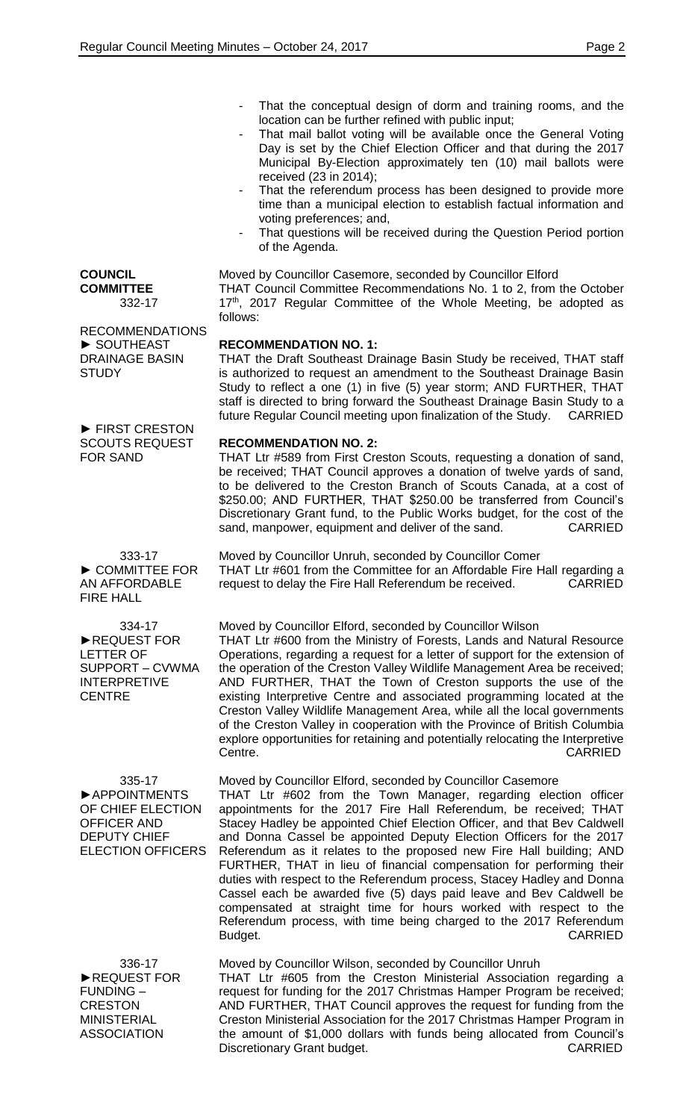- That the conceptual design of dorm and training rooms, and the location can be further refined with public input;
- That mail ballot voting will be available once the General Voting Day is set by the Chief Election Officer and that during the 2017 Municipal By-Election approximately ten (10) mail ballots were received (23 in 2014);
- That the referendum process has been designed to provide more time than a municipal election to establish factual information and voting preferences; and,
- That questions will be received during the Question Period portion of the Agenda.

Moved by Councillor Casemore, seconded by Councillor Elford

THAT Council Committee Recommendations No. 1 to 2, from the October 17<sup>th</sup>, 2017 Regular Committee of the Whole Meeting, be adopted as follows:

**RECOMMENDATION NO. 1:**

THAT the Draft Southeast Drainage Basin Study be received, THAT staff is authorized to request an amendment to the Southeast Drainage Basin Study to reflect a one (1) in five (5) year storm; AND FURTHER, THAT staff is directed to bring forward the Southeast Drainage Basin Study to a future Regular Council meeting upon finalization of the Study. CARRIED

### **RECOMMENDATION NO. 2:**

THAT Ltr #589 from First Creston Scouts, requesting a donation of sand, be received; THAT Council approves a donation of twelve yards of sand, to be delivered to the Creston Branch of Scouts Canada, at a cost of \$250.00; AND FURTHER, THAT \$250.00 be transferred from Council's Discretionary Grant fund, to the Public Works budget, for the cost of the sand, manpower, equipment and deliver of the sand. CARRIED

Moved by Councillor Unruh, seconded by Councillor Comer THAT Ltr #601 from the Committee for an Affordable Fire Hall regarding a request to delay the Fire Hall Referendum be received. CARRIED

Moved by Councillor Elford, seconded by Councillor Wilson THAT Ltr #600 from the Ministry of Forests, Lands and Natural Resource Operations, regarding a request for a letter of support for the extension of the operation of the Creston Valley Wildlife Management Area be received; AND FURTHER, THAT the Town of Creston supports the use of the existing Interpretive Centre and associated programming located at the Creston Valley Wildlife Management Area, while all the local governments of the Creston Valley in cooperation with the Province of British Columbia explore opportunities for retaining and potentially relocating the Interpretive Centre. CARRIED

335-17 ►APPOINTMENTS OF CHIEF ELECTION OFFICER AND DEPUTY CHIEF ELECTION OFFICERS

Moved by Councillor Elford, seconded by Councillor Casemore THAT Ltr #602 from the Town Manager, regarding election officer appointments for the 2017 Fire Hall Referendum, be received; THAT Stacey Hadley be appointed Chief Election Officer, and that Bev Caldwell and Donna Cassel be appointed Deputy Election Officers for the 2017 Referendum as it relates to the proposed new Fire Hall building; AND FURTHER, THAT in lieu of financial compensation for performing their duties with respect to the Referendum process, Stacey Hadley and Donna Cassel each be awarded five (5) days paid leave and Bev Caldwell be compensated at straight time for hours worked with respect to the Referendum process, with time being charged to the 2017 Referendum Budget. CARRIED

336-17 ►REQUEST FOR FUNDING – **CRESTON** MINISTERIAL ASSOCIATION

Moved by Councillor Wilson, seconded by Councillor Unruh THAT Ltr #605 from the Creston Ministerial Association regarding a request for funding for the 2017 Christmas Hamper Program be received; AND FURTHER, THAT Council approves the request for funding from the Creston Ministerial Association for the 2017 Christmas Hamper Program in the amount of \$1,000 dollars with funds being allocated from Council's Discretionary Grant budget. The contract of the CARRIED

**COUNCIL COMMITTEE** 332-17

RECOMMENDATIONS ► SOUTHEAST DRAINAGE BASIN **STUDY** 

► FIRST CRESTON SCOUTS REQUEST FOR SAND

333-17 ► COMMITTEE FOR AN AFFORDABLE FIRE HALL

334-17 ►REQUEST FOR LETTER OF SUPPORT – CVWMA INTERPRETIVE **CENTRE**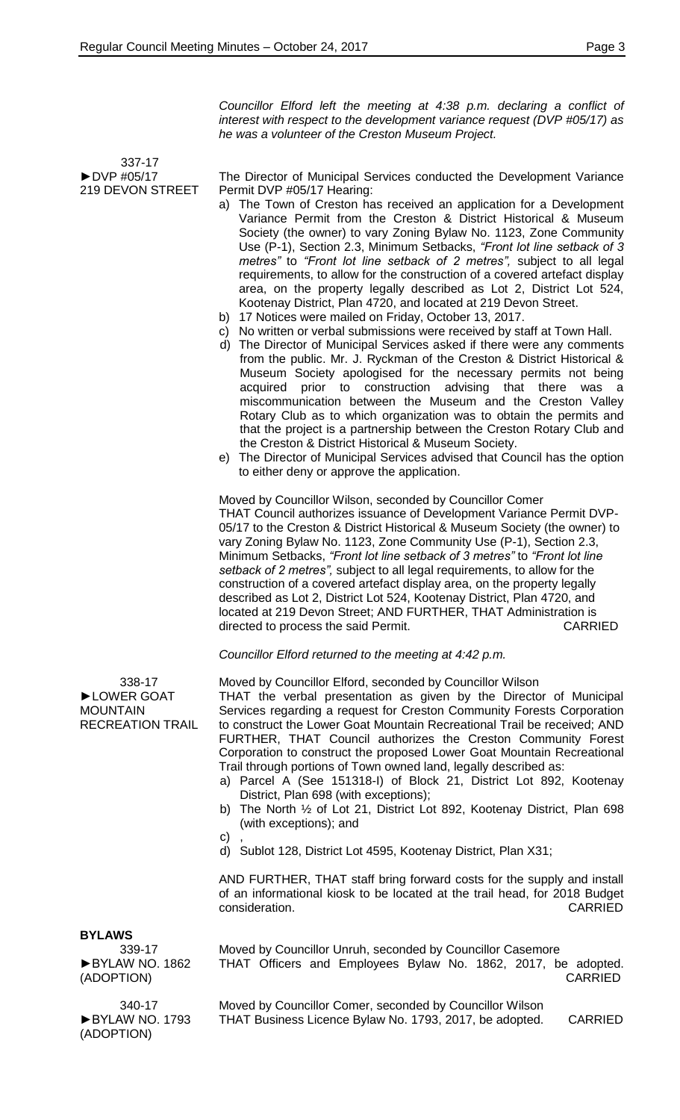*Councillor Elford left the meeting at 4:38 p.m. declaring a conflict of interest with respect to the development variance request (DVP #05/17) as he was a volunteer of the Creston Museum Project.*

 337-17 ►DVP #05/17 219 DEVON STREET

The Director of Municipal Services conducted the Development Variance Permit DVP #05/17 Hearing:

- a) The Town of Creston has received an application for a Development Variance Permit from the Creston & District Historical & Museum Society (the owner) to vary Zoning Bylaw No. 1123, Zone Community Use (P-1), Section 2.3, Minimum Setbacks, *"Front lot line setback of 3 metres"* to *"Front lot line setback of 2 metres",* subject to all legal requirements, to allow for the construction of a covered artefact display area, on the property legally described as Lot 2, District Lot 524, Kootenay District, Plan 4720, and located at 219 Devon Street.
- b) 17 Notices were mailed on Friday, October 13, 2017.
- c) No written or verbal submissions were received by staff at Town Hall.
- d) The Director of Municipal Services asked if there were any comments from the public. Mr. J. Ryckman of the Creston & District Historical & Museum Society apologised for the necessary permits not being acquired prior to construction advising that there was a miscommunication between the Museum and the Creston Valley Rotary Club as to which organization was to obtain the permits and that the project is a partnership between the Creston Rotary Club and the Creston & District Historical & Museum Society.
- e) The Director of Municipal Services advised that Council has the option to either deny or approve the application.

Moved by Councillor Wilson, seconded by Councillor Comer THAT Council authorizes issuance of Development Variance Permit DVP-05/17 to the Creston & District Historical & Museum Society (the owner) to vary Zoning Bylaw No. 1123, Zone Community Use (P-1), Section 2.3, Minimum Setbacks, *"Front lot line setback of 3 metres"* to *"Front lot line setback of 2 metres",* subject to all legal requirements, to allow for the construction of a covered artefact display area, on the property legally described as Lot 2, District Lot 524, Kootenay District, Plan 4720, and located at 219 Devon Street; AND FURTHER, THAT Administration is directed to process the said Permit. The contraction of the CARRIED

*Councillor Elford returned to the meeting at 4:42 p.m.*

Moved by Councillor Elford, seconded by Councillor Wilson THAT the verbal presentation as given by the Director of Municipal Services regarding a request for Creston Community Forests Corporation to construct the Lower Goat Mountain Recreational Trail be received; AND FURTHER, THAT Council authorizes the Creston Community Forest Corporation to construct the proposed Lower Goat Mountain Recreational Trail through portions of Town owned land, legally described as:

- a) Parcel A (See 151318-I) of Block 21, District Lot 892, Kootenay District, Plan 698 (with exceptions);
- b) The North ½ of Lot 21, District Lot 892, Kootenay District, Plan 698 (with exceptions); and
- $\mathsf{C}$
- d) Sublot 128, District Lot 4595, Kootenay District, Plan X31;

AND FURTHER, THAT staff bring forward costs for the supply and install of an informational kiosk to be located at the trail head, for 2018 Budget consideration. CARRIED

## **BYLAWS**

►BYLAW NO. 1862

338-17 ►LOWER GOAT MOUNTAIN

RECREATION TRAIL

Moved by Councillor Unruh, seconded by Councillor Casemore THAT Officers and Employees Bylaw No. 1862, 2017, be adopted. CARRIED

Moved by Councillor Comer, seconded by Councillor Wilson THAT Business Licence Bylaw No. 1793, 2017, be adopted. CARRIED

339-17 (ADOPTION)

340-17 ►BYLAW NO. 1793 (ADOPTION)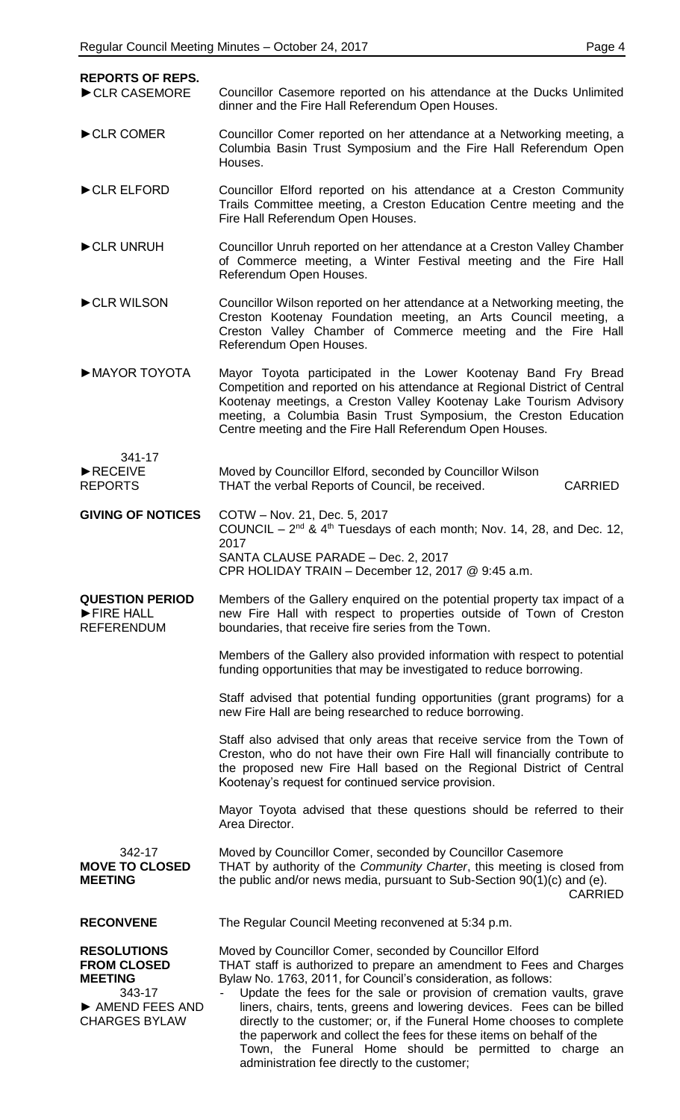| C<br>L<br>o. |  |
|--------------|--|
|--------------|--|

| <b>REPORTS OF REPS.</b><br>CLR CASEMORE                                                                        | Councillor Casemore reported on his attendance at the Ducks Unlimited                                                                                                                                                                                                                                                                                                                                                                                                                                                                                                                                           |
|----------------------------------------------------------------------------------------------------------------|-----------------------------------------------------------------------------------------------------------------------------------------------------------------------------------------------------------------------------------------------------------------------------------------------------------------------------------------------------------------------------------------------------------------------------------------------------------------------------------------------------------------------------------------------------------------------------------------------------------------|
| CLR COMER                                                                                                      | dinner and the Fire Hall Referendum Open Houses.<br>Councillor Comer reported on her attendance at a Networking meeting, a                                                                                                                                                                                                                                                                                                                                                                                                                                                                                      |
|                                                                                                                | Columbia Basin Trust Symposium and the Fire Hall Referendum Open<br>Houses.                                                                                                                                                                                                                                                                                                                                                                                                                                                                                                                                     |
| CLR ELFORD                                                                                                     | Councillor Elford reported on his attendance at a Creston Community<br>Trails Committee meeting, a Creston Education Centre meeting and the<br>Fire Hall Referendum Open Houses.                                                                                                                                                                                                                                                                                                                                                                                                                                |
| CLR UNRUH                                                                                                      | Councillor Unruh reported on her attendance at a Creston Valley Chamber<br>of Commerce meeting, a Winter Festival meeting and the Fire Hall<br>Referendum Open Houses.                                                                                                                                                                                                                                                                                                                                                                                                                                          |
| CLR WILSON                                                                                                     | Councillor Wilson reported on her attendance at a Networking meeting, the<br>Creston Kootenay Foundation meeting, an Arts Council meeting, a<br>Creston Valley Chamber of Commerce meeting and the Fire Hall<br>Referendum Open Houses.                                                                                                                                                                                                                                                                                                                                                                         |
| MAYOR TOYOTA                                                                                                   | Mayor Toyota participated in the Lower Kootenay Band Fry Bread<br>Competition and reported on his attendance at Regional District of Central<br>Kootenay meetings, a Creston Valley Kootenay Lake Tourism Advisory<br>meeting, a Columbia Basin Trust Symposium, the Creston Education<br>Centre meeting and the Fire Hall Referendum Open Houses.                                                                                                                                                                                                                                                              |
| 341-17<br>RECEIVE<br><b>REPORTS</b>                                                                            | Moved by Councillor Elford, seconded by Councillor Wilson<br>THAT the verbal Reports of Council, be received.<br><b>CARRIED</b>                                                                                                                                                                                                                                                                                                                                                                                                                                                                                 |
| <b>GIVING OF NOTICES</b>                                                                                       | COTW - Nov. 21, Dec. 5, 2017<br>COUNCIL – $2^{nd}$ & $4^{th}$ Tuesdays of each month; Nov. 14, 28, and Dec. 12,<br>2017<br>SANTA CLAUSE PARADE - Dec. 2, 2017<br>CPR HOLIDAY TRAIN - December 12, 2017 @ 9:45 a.m.                                                                                                                                                                                                                                                                                                                                                                                              |
| <b>QUESTION PERIOD</b><br>FIRE HALL<br><b>REFERENDUM</b>                                                       | Members of the Gallery enquired on the potential property tax impact of a<br>new Fire Hall with respect to properties outside of Town of Creston<br>boundaries, that receive fire series from the Town.                                                                                                                                                                                                                                                                                                                                                                                                         |
|                                                                                                                | Members of the Gallery also provided information with respect to potential<br>funding opportunities that may be investigated to reduce borrowing.                                                                                                                                                                                                                                                                                                                                                                                                                                                               |
|                                                                                                                | Staff advised that potential funding opportunities (grant programs) for a<br>new Fire Hall are being researched to reduce borrowing.                                                                                                                                                                                                                                                                                                                                                                                                                                                                            |
|                                                                                                                | Staff also advised that only areas that receive service from the Town of<br>Creston, who do not have their own Fire Hall will financially contribute to<br>the proposed new Fire Hall based on the Regional District of Central<br>Kootenay's request for continued service provision.                                                                                                                                                                                                                                                                                                                          |
|                                                                                                                | Mayor Toyota advised that these questions should be referred to their<br>Area Director.                                                                                                                                                                                                                                                                                                                                                                                                                                                                                                                         |
| 342-17<br><b>MOVE TO CLOSED</b><br><b>MEETING</b>                                                              | Moved by Councillor Comer, seconded by Councillor Casemore<br>THAT by authority of the Community Charter, this meeting is closed from<br>the public and/or news media, pursuant to Sub-Section 90(1)(c) and (e).<br><b>CARRIED</b>                                                                                                                                                                                                                                                                                                                                                                              |
| <b>RECONVENE</b>                                                                                               | The Regular Council Meeting reconvened at 5:34 p.m.                                                                                                                                                                                                                                                                                                                                                                                                                                                                                                                                                             |
| <b>RESOLUTIONS</b><br><b>FROM CLOSED</b><br><b>MEETING</b><br>343-17<br>AMEND FEES AND<br><b>CHARGES BYLAW</b> | Moved by Councillor Comer, seconded by Councillor Elford<br>THAT staff is authorized to prepare an amendment to Fees and Charges<br>Bylaw No. 1763, 2011, for Council's consideration, as follows:<br>Update the fees for the sale or provision of cremation vaults, grave<br>liners, chairs, tents, greens and lowering devices. Fees can be billed<br>directly to the customer; or, if the Funeral Home chooses to complete<br>the paperwork and collect the fees for these items on behalf of the<br>Town, the Funeral Home should be permitted to charge an<br>administration fee directly to the customer; |